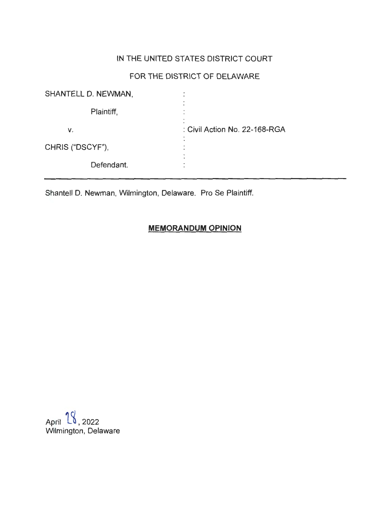# IN THE UNITED STATES DISTRICT COURT

# FOR THE DISTRICT OF DELAWARE

| SHANTELL D. NEWMAN, | ٠                             |
|---------------------|-------------------------------|
| Plaintiff,          |                               |
| v.                  | : Civil Action No. 22-168-RGA |
| CHRIS ("DSCYF"),    |                               |
| Defendant.          |                               |

Shantell D. Newman, Wilmington, Delaware. Pro Se Plaintiff.

## **MEMORANDUM OPINION**

April  $18$ , 2022 Wilmington, Delaware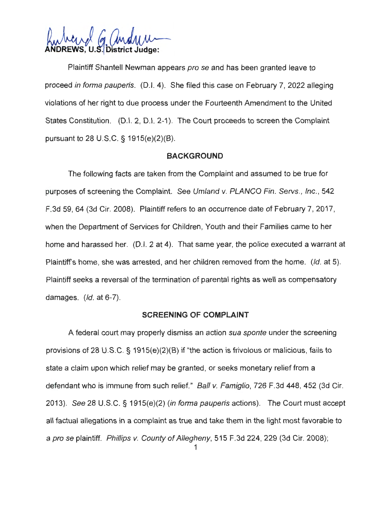VS. U.S. District

Plaintiff Shantell Newman appears pro se and has been granted leave to proceed in forma pauperis. (0.1. 4). She filed this case on February 7, 2022 alleging violations of her right to due process under the Fourteenth Amendment to the United States Constitution. (D.I. 2, D.I. 2-1). The Court proceeds to screen the Complaint pursuant to 28 U.S.C. § 1915(e)(2)(B).

#### **BACKGROUND**

The following facts are taken from the Complaint and assumed to be true for purposes of screening the Complaint. See Umland v. PLANCO Fin. Servs., Inc. , 542 F.3d 59, 64 (3d Cir. 2008). Plaintiff refers to an occurrence date of February 7, 2017, when the Department of Services for Children, Youth and their Families came to her home and harassed her. (D.I. 2 at 4). That same year, the police executed a warrant at Plaintiff's home, she was arrested, and her children removed from the home. (Id. at 5). Plaintiff seeks a reversal of the termination of parental rights as well as compensatory damages.  $(id.$  at 6-7).

#### **SCREENING OF COMPLAINT**

A federal court may properly dismiss an action sua sponte under the screening provisions of 28 U.S.C. § 1915(e)(2)(B) if "the action is frivolous or malicious, fails to state a claim upon which relief may be granted, or seeks monetary relief from a defendant who is immune from such relief." Ball v. Famiglio, 726 F.3d 448, 452 (3d Cir. 2013). See 28 U.S.C. § 1915(e)(2) (in forma pauperis actions). The Court must accept all factual allegations in a complaint as true and take them in the light most favorable to a prose plaintiff. Phillips v. County of Allegheny, 515 F.3d 224, 229 (3d Cir. 2008);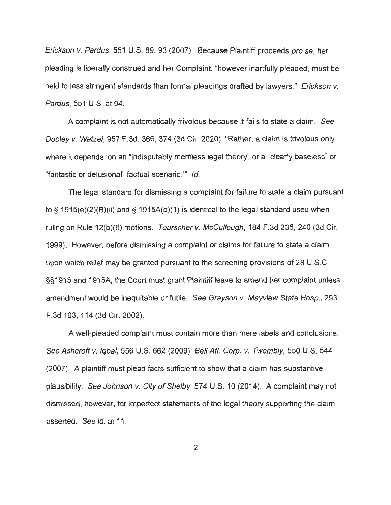Erickson v. Pardus, 551 U.S. 89, 93 (2007). Because Plaintiff proceeds pro se, her pleading is liberally construed and her Complaint, "however inartfully pleaded, must be held to less stringent standards than formal pleadings drafted by lawyers." Erickson v. Pardus, 551 U.S. at 94.

A complaint is not automatically frivolous because it fails to state a claim. See Dooley v. Wetzel, 957 F.3d. 366, 374 (3d Cir. 2020) "Rather, a claim is frivolous only where it depends 'on an "indisputably meritless legal theory" or a "clearly baseless" or "fantastic or delusional" factual scenario."' Id.

The legal standard for dismissing a complaint for failure to state a claim pursuant to§ 1915(e)(2)(8)(ii) and§ 1915A(b)(1) is identical to the legal standard used when ruling on Rule 12(b)(6) motions. Tourscher v. McCullough, 184 F.3d 236, 240 (3d Cir. 1999). However, before dismissing a complaint or claims for failure to state a claim upon which relief may be granted pursuant to the screening provisions of 28 U.S.C. §§1915 and 1915A, the Court must grant Plaintiff leave to amend her complaint unless amendment would be inequitable or futile. See Grayson v. Mayview State Hosp., 293 F.3d 103, 114 (3d Cir. 2002).

A well-pleaded complaint must contain more than mere labels and conclusions. See Ashcroft v. Iqbal, 556 U.S. 662 (2009); Bell Atl. Corp. v. Twombly, 550 U.S. 544 (2007). A plaintiff must plead facts sufficient to show that a claim has substantive plausibility. See Johnson v. City of Shelby, 574 U.S. 10 (2014). A complaint may not dismissed, however, for imperfect statements of the legal theory supporting the claim asserted. See id. at 11.

2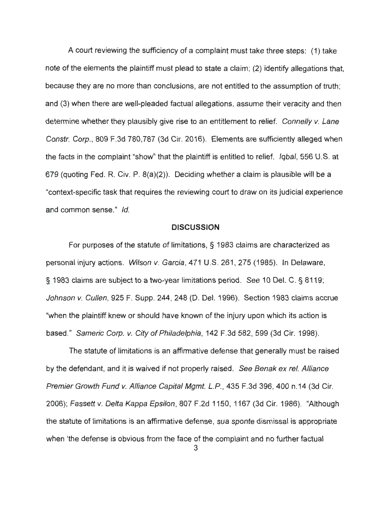A court reviewing the sufficiency of a complaint must take three steps: (1) take note of the elements the plaintiff must plead to state a claim ; (2) identify allegations that, because they are no more than conclusions, are not entitled to the assumption of truth; and (3) when there are well-pleaded factual allegations, assume their veracity and then determine whether they plausibly give rise to an entitlement to relief. Connelly v. Lane Constr. Corp., 809 F.3d 780,787 (3d Cir. 2016). Elements are sufficiently alleged when the facts in the complaint "show" that the plaintiff is entitled to relief. Iqbal, 556 U.S. at 679 (quoting Fed. R. Civ. P. 8(a)(2)). Deciding whether a claim is plausible will be a "context-specific task that requires the reviewing court to draw on its judicial experience and common sense." Id.

#### **DISCUSSION**

For purposes of the statute of limitations, § 1983 claims are characterized as personal injury actions. Wilson v. Garcia, 471 U.S. 261 , 275 (1985). In Delaware, § 1983 claims are subject to a two-year limitations period. See 10 Del. C. § 8119; Johnson v. Cullen, 925 F. Supp. 244, 248 (D. Del. 1996). Section 1983 claims accrue "when the plaintiff knew or should have known of the injury upon which its action is based." Sameric Corp. v. City of Philadelphia, 142 F.3d 582, 599 (3d Cir. 1998).

The statute of limitations is an affirmative defense that generally must be raised by the defendant, and it is waived if not properly raised. See Benak ex rel. Alliance Premier Growth Fund v. Alliance Capital Mgmt. L.P., 435 F.3d 396, 400 n.14 (3d Cir. 2006); Fassett v. Delta Kappa Epsilon, 807 F.2d 1150, 1167 (3d Cir. 1986). "Although the statute of limitations is an affirmative defense, sua sponte dismissal is appropriate when 'the defense is obvious from the face of the complaint and no further factual

3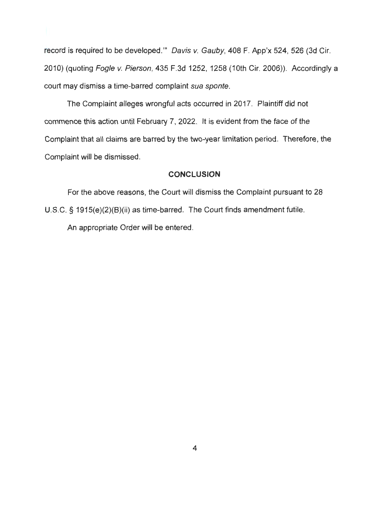record is required to be developed."' Davis v. Gauby, 408 F. App'x 524, 526 (3d Cir. 2010) (quoting Fogle v. Pierson, 435 F.3d 1252, 1258 (10th Cir. 2006)). Accordingly a court may dismiss a time-barred complaint sua sponte.

The Complaint alleges wrongful acts occurred in 2017. Plaintiff did not commence this action until February 7, 2022. It is evident from the face of the Complaint that all claims are barred by the two-year limitation period. Therefore, the Complaint will be dismissed.

### **CONCLUSION**

For the above reasons, the Court will dismiss the Complaint pursuant to 28 U.S.C. § 1915(e)(2)(B)(ii) as time-barred. The Court finds amendment futile. An appropriate Order will be entered .

4